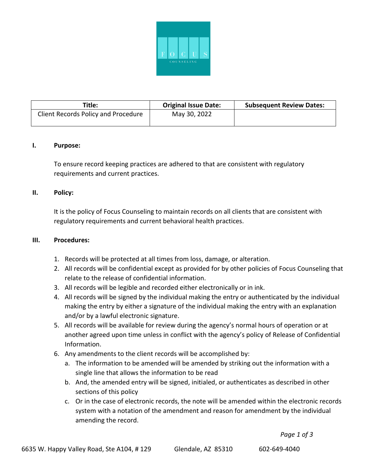

| Title:                              | <b>Original Issue Date:</b> | <b>Subsequent Review Dates:</b> |
|-------------------------------------|-----------------------------|---------------------------------|
| Client Records Policy and Procedure | May 30, 2022                |                                 |

## **I. Purpose:**

To ensure record keeping practices are adhered to that are consistent with regulatory requirements and current practices.

## **II. Policy:**

It is the policy of Focus Counseling to maintain records on all clients that are consistent with regulatory requirements and current behavioral health practices.

## **III. Procedures:**

- 1. Records will be protected at all times from loss, damage, or alteration.
- 2. All records will be confidential except as provided for by other policies of Focus Counseling that relate to the release of confidential information.
- 3. All records will be legible and recorded either electronically or in ink.
- 4. All records will be signed by the individual making the entry or authenticated by the individual making the entry by either a signature of the individual making the entry with an explanation and/or by a lawful electronic signature.
- 5. All records will be available for review during the agency's normal hours of operation or at another agreed upon time unless in conflict with the agency's policy of Release of Confidential Information.
- 6. Any amendments to the client records will be accomplished by:
	- a. The information to be amended will be amended by striking out the information with a single line that allows the information to be read
	- b. And, the amended entry will be signed, initialed, or authenticates as described in other sections of this policy
	- c. Or in the case of electronic records, the note will be amended within the electronic records system with a notation of the amendment and reason for amendment by the individual amending the record.

*Page 1 of 3*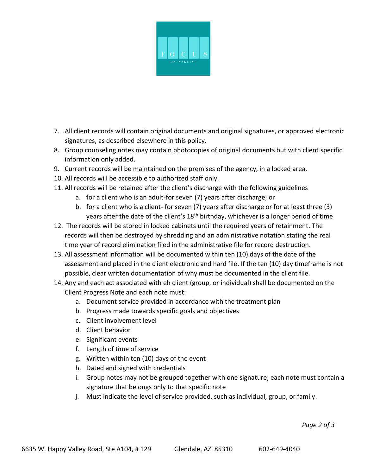

- 7. All client records will contain original documents and original signatures, or approved electronic signatures, as described elsewhere in this policy.
- 8. Group counseling notes may contain photocopies of original documents but with client specific information only added.
- 9. Current records will be maintained on the premises of the agency, in a locked area.
- 10. All records will be accessible to authorized staff only.
- 11. All records will be retained after the client's discharge with the following guidelines
	- a. for a client who is an adult-for seven (7) years after discharge; or
	- b. for a client who is a client- for seven (7) years after discharge or for at least three (3) years after the date of the client's 18<sup>th</sup> birthday, whichever is a longer period of time
- 12. The records will be stored in locked cabinets until the required years of retainment. The records will then be destroyed by shredding and an administrative notation stating the real time year of record elimination filed in the administrative file for record destruction.
- 13. All assessment information will be documented within ten (10) days of the date of the assessment and placed in the client electronic and hard file. If the ten (10) day timeframe is not possible, clear written documentation of why must be documented in the client file.
- 14. Any and each act associated with eh client (group, or individual) shall be documented on the Client Progress Note and each note must:
	- a. Document service provided in accordance with the treatment plan
	- b. Progress made towards specific goals and objectives
	- c. Client involvement level
	- d. Client behavior
	- e. Significant events
	- f. Length of time of service
	- g. Written within ten (10) days of the event
	- h. Dated and signed with credentials
	- i. Group notes may not be grouped together with one signature; each note must contain a signature that belongs only to that specific note
	- j. Must indicate the level of service provided, such as individual, group, or family.

*Page 2 of 3*